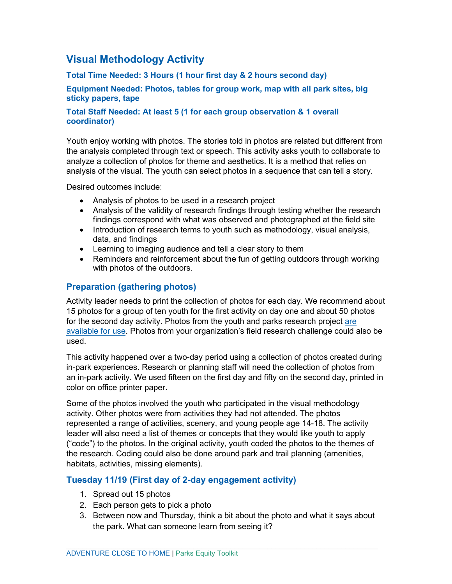# **Visual Methodology Activity**

**Total Time Needed: 3 Hours (1 hour first day & 2 hours second day)**

**Equipment Needed: Photos, tables for group work, map with all park sites, big sticky papers, tape**

#### **Total Staff Needed: At least 5 (1 for each group observation & 1 overall coordinator)**

Youth enjoy working with photos. The stories told in photos are related but different from the analysis completed through text or speech. This activity asks youth to collaborate to analyze a collection of photos for theme and aesthetics. It is a method that relies on analysis of the visual. The youth can select photos in a sequence that can tell a story.

Desired outcomes include:

- Analysis of photos to be used in a research project
- Analysis of the validity of research findings through testing whether the research findings correspond with what was observed and photographed at the field site
- Introduction of research terms to youth such as methodology, visual analysis, data, and findings
- Learning to imaging audience and tell a clear story to them
- Reminders and reinforcement about the fun of getting outdoors through working with photos of the outdoors.

# **Preparation (gathering photos)**

Activity leader needs to print the collection of photos for each day. We recommend about 15 photos for a group of ten youth for the first activity on day one and about 50 photos for the second day activity. Photos from the youth and parks research project [are](https://metrocouncil.org/Parks/Research/Youth-Parks/Process.aspx)  [available for use.](https://metrocouncil.org/Parks/Research/Youth-Parks/Process.aspx) Photos from your organization's field research challenge could also be used.

This activity happened over a two-day period using a collection of photos created during in-park experiences. Research or planning staff will need the collection of photos from an in-park activity. We used fifteen on the first day and fifty on the second day, printed in color on office printer paper.

Some of the photos involved the youth who participated in the visual methodology activity. Other photos were from activities they had not attended. The photos represented a range of activities, scenery, and young people age 14-18. The activity leader will also need a list of themes or concepts that they would like youth to apply ("code") to the photos. In the original activity, youth coded the photos to the themes of the research. Coding could also be done around park and trail planning (amenities, habitats, activities, missing elements).

# **Tuesday 11/19 (First day of 2-day engagement activity)**

- 1. Spread out 15 photos
- 2. Each person gets to pick a photo
- 3. Between now and Thursday, think a bit about the photo and what it says about the park. What can someone learn from seeing it?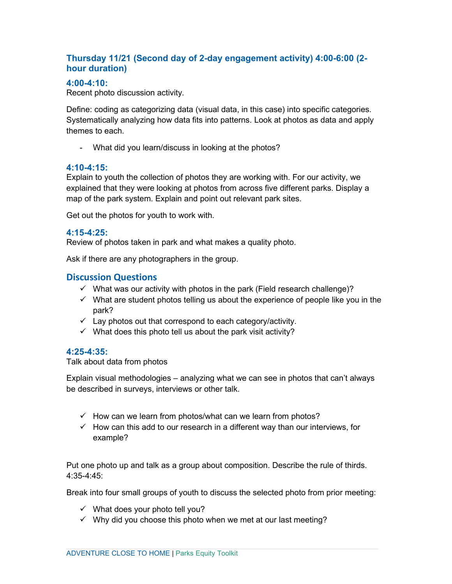# **Thursday 11/21 (Second day of 2-day engagement activity) 4:00-6:00 (2 hour duration)**

### **4:00-4:10:**

Recent photo discussion activity.

Define: coding as categorizing data (visual data, in this case) into specific categories. Systematically analyzing how data fits into patterns. Look at photos as data and apply themes to each.

- What did you learn/discuss in looking at the photos?

#### **4:10-4:15:**

Explain to youth the collection of photos they are working with. For our activity, we explained that they were looking at photos from across five different parks. Display a map of the park system. Explain and point out relevant park sites.

Get out the photos for youth to work with.

#### **4:15-4:25:**

Review of photos taken in park and what makes a quality photo.

Ask if there are any photographers in the group.

# **Discussion Questions**

- $\checkmark$  What was our activity with photos in the park (Field research challenge)?
- $\checkmark$  What are student photos telling us about the experience of people like you in the park?
- $\checkmark$  Lay photos out that correspond to each category/activity.
- $\checkmark$  What does this photo tell us about the park visit activity?

### **4:25-4:35:**

#### Talk about data from photos

Explain visual methodologies – analyzing what we can see in photos that can't always be described in surveys, interviews or other talk.

- $\checkmark$  How can we learn from photos/what can we learn from photos?
- $\checkmark$  How can this add to our research in a different way than our interviews, for example?

Put one photo up and talk as a group about composition. Describe the rule of thirds. 4:35-4:45:

Break into four small groups of youth to discuss the selected photo from prior meeting:

- $\checkmark$  What does your photo tell you?
- $\checkmark$  Why did you choose this photo when we met at our last meeting?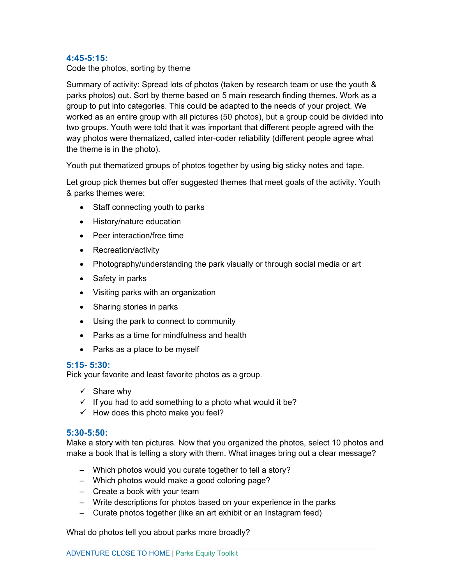#### **4:45-5:15:**

Code the photos, sorting by theme

Summary of activity: Spread lots of photos (taken by research team or use the youth & parks photos) out. Sort by theme based on 5 main research finding themes. Work as a group to put into categories. This could be adapted to the needs of your project. We worked as an entire group with all pictures (50 photos), but a group could be divided into two groups. Youth were told that it was important that different people agreed with the way photos were thematized, called inter-coder reliability (different people agree what the theme is in the photo).

Youth put thematized groups of photos together by using big sticky notes and tape.

Let group pick themes but offer suggested themes that meet goals of the activity. Youth & parks themes were:

- Staff connecting youth to parks
- History/nature education
- Peer interaction/free time
- Recreation/activity
- Photography/understanding the park visually or through social media or art
- Safety in parks
- Visiting parks with an organization
- Sharing stories in parks
- Using the park to connect to community
- Parks as a time for mindfulness and health
- Parks as a place to be myself

#### **5:15- 5:30:**

Pick your favorite and least favorite photos as a group.

- $\checkmark$  Share why
- $\checkmark$  If you had to add something to a photo what would it be?
- $\checkmark$  How does this photo make you feel?

#### **5:30-5:50:**

Make a story with ten pictures. Now that you organized the photos, select 10 photos and make a book that is telling a story with them. What images bring out a clear message?

- Which photos would you curate together to tell a story?
- Which photos would make a good coloring page?
- Create a book with your team
- Write descriptions for photos based on your experience in the parks
- Curate photos together (like an art exhibit or an Instagram feed)

What do photos tell you about parks more broadly?